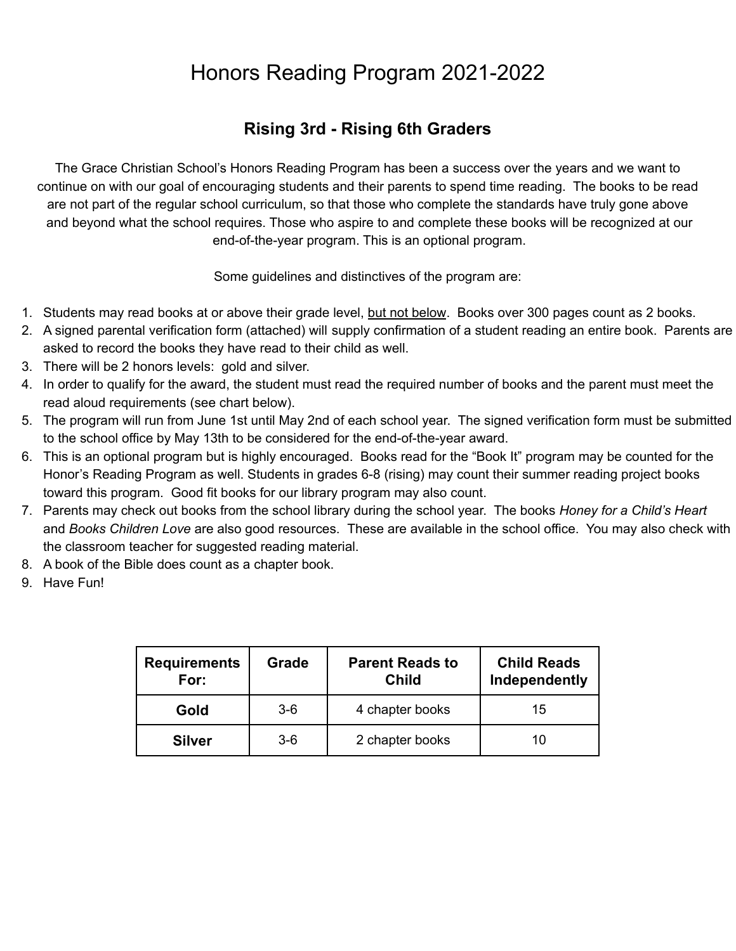## Honors Reading Program 2021-2022

## **Rising 3rd - Rising 6th Graders**

The Grace Christian School's Honors Reading Program has been a success over the years and we want to continue on with our goal of encouraging students and their parents to spend time reading. The books to be read are not part of the regular school curriculum, so that those who complete the standards have truly gone above and beyond what the school requires. Those who aspire to and complete these books will be recognized at our end-of-the-year program. This is an optional program.

Some guidelines and distinctives of the program are:

- 1. Students may read books at or above their grade level, but not below. Books over 300 pages count as 2 books.
- 2. A signed parental verification form (attached) will supply confirmation of a student reading an entire book. Parents are asked to record the books they have read to their child as well.
- 3. There will be 2 honors levels: gold and silver.
- 4. In order to qualify for the award, the student must read the required number of books and the parent must meet the read aloud requirements (see chart below).
- 5. The program will run from June 1st until May 2nd of each school year. The signed verification form must be submitted to the school office by May 13th to be considered for the end-of-the-year award.
- 6. This is an optional program but is highly encouraged. Books read for the "Book It" program may be counted for the Honor's Reading Program as well. Students in grades 6-8 (rising) may count their summer reading project books toward this program. Good fit books for our library program may also count.
- 7. Parents may check out books from the school library during the school year. The books *Honey for a Child's Heart* and *Books Children Love* are also good resources. These are available in the school office. You may also check with the classroom teacher for suggested reading material.
- 8. A book of the Bible does count as a chapter book.
- 9. Have Fun!

| <b>Requirements</b><br>For: | Grade | <b>Parent Reads to</b><br><b>Child</b> | <b>Child Reads</b><br>Independently |
|-----------------------------|-------|----------------------------------------|-------------------------------------|
| Gold                        | $3-6$ | 4 chapter books                        | 15                                  |
| <b>Silver</b>               | $3-6$ | 2 chapter books                        | 10                                  |